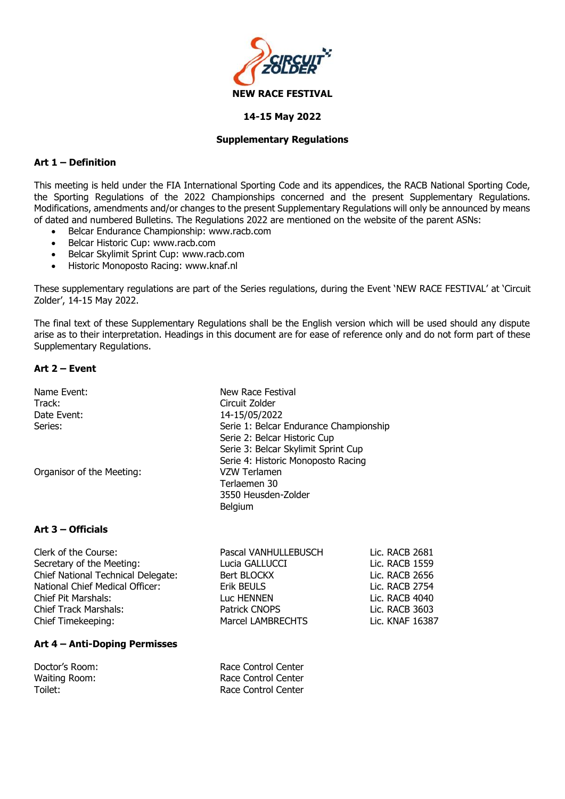

#### **14-15 May 2022**

#### **Supplementary Regulations**

# **Art 1 – Definition**

This meeting is held under the FIA International Sporting Code and its appendices, the RACB National Sporting Code, the Sporting Regulations of the 2022 Championships concerned and the present Supplementary Regulations. Modifications, amendments and/or changes to the present Supplementary Regulations will only be announced by means of dated and numbered Bulletins. The Regulations 2022 are mentioned on the website of the parent ASNs:

- Belcar Endurance Championship: www.racb.com
- Belcar Historic Cup: www.racb.com
- Belcar Skylimit Sprint Cup: [www.racb.com](http://www.racb.com/)
- Historic Monoposto Racing: www.knaf.nl

These supplementary regulations are part of the Series regulations, during the Event 'NEW RACE FESTIVAL' at 'Circuit Zolder', 14-15 May 2022.

The final text of these Supplementary Regulations shall be the English version which will be used should any dispute arise as to their interpretation. Headings in this document are for ease of reference only and do not form part of these Supplementary Regulations.

# **Art 2 – Event**

| Name Event:               | New Race Festival                      |
|---------------------------|----------------------------------------|
| Track:                    | Circuit Zolder                         |
| Date Event:               | 14-15/05/2022                          |
| Series:                   | Serie 1: Belcar Endurance Championship |
|                           | Serie 2: Belcar Historic Cup           |
|                           | Serie 3: Belcar Skylimit Sprint Cup    |
|                           | Serie 4: Historic Monoposto Racing     |
| Organisor of the Meeting: | VZW Terlamen                           |
|                           | Terlaemen 30                           |
|                           | 3550 Heusden-Zolder                    |
|                           | <b>Belgium</b>                         |

## **Art 3 – Officials**

| Lic. RACB 2681  |                                                                                                                                |
|-----------------|--------------------------------------------------------------------------------------------------------------------------------|
| Lic. RACB 1559  |                                                                                                                                |
| Lic. RACB 2656  |                                                                                                                                |
| Lic. RACB 2754  |                                                                                                                                |
| Lic. RACB 4040  |                                                                                                                                |
| Lic. RACB 3603  |                                                                                                                                |
| Lic. KNAF 16387 |                                                                                                                                |
|                 | Pascal VANHULLEBUSCH<br>Lucia GALLUCCI<br>Bert BLOCKX<br>Erik BEULS<br>Luc HENNEN<br>Patrick CNOPS<br><b>Marcel LAMBRECHTS</b> |

#### **Art 4 – Anti-Doping Permisses**

| Doctor's Room: | Race Control Center |
|----------------|---------------------|
| Waiting Room:  | Race Control Center |
| Toilet:        | Race Control Center |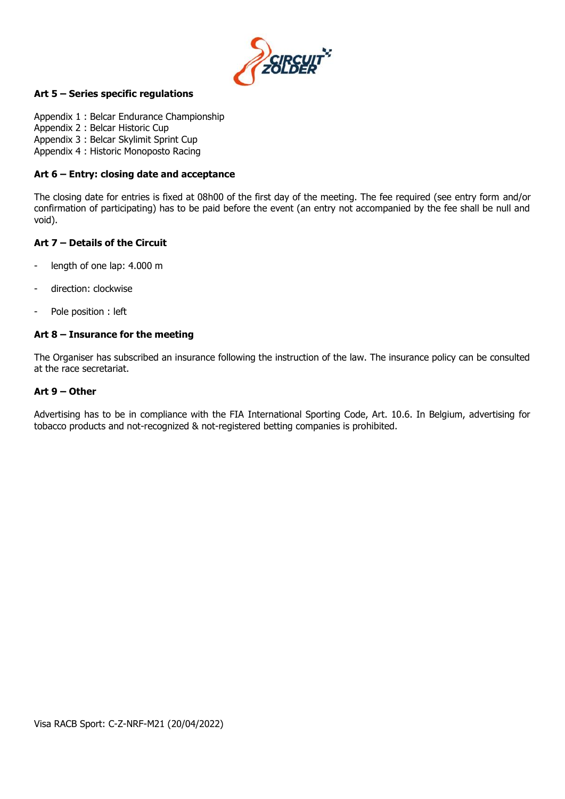

# **Art 5 – Series specific regulations**

Appendix 1 : Belcar Endurance Championship Appendix 2 : Belcar Historic Cup Appendix 3 : Belcar Skylimit Sprint Cup Appendix 4 : Historic Monoposto Racing

#### **Art 6 – Entry: closing date and acceptance**

The closing date for entries is fixed at 08h00 of the first day of the meeting. The fee required (see entry form and/or confirmation of participating) has to be paid before the event (an entry not accompanied by the fee shall be null and void).

#### **Art 7 – Details of the Circuit**

- length of one lap: 4.000 m
- direction: clockwise
- Pole position : left

#### **Art 8 – Insurance for the meeting**

The Organiser has subscribed an insurance following the instruction of the law. The insurance policy can be consulted at the race secretariat.

#### **Art 9 – Other**

Advertising has to be in compliance with the FIA International Sporting Code, Art. 10.6. In Belgium, advertising for tobacco products and not-recognized & not-registered betting companies is prohibited.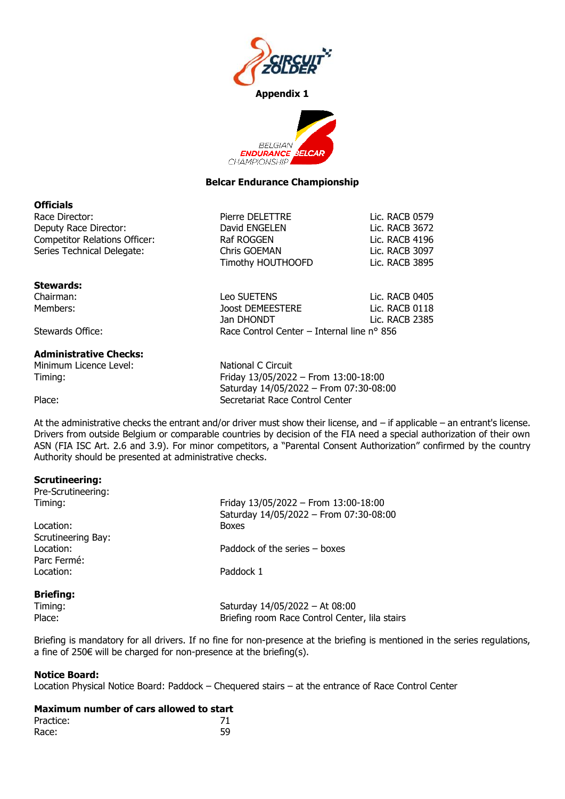



#### **Belcar Endurance Championship**

#### **Officials**

| Race Director:                       | Pierre DELETTRE                            | Lic. RACB 0579 |
|--------------------------------------|--------------------------------------------|----------------|
| Deputy Race Director:                | David ENGELEN                              | Lic. RACB 3672 |
| <b>Competitor Relations Officer:</b> | Raf ROGGEN                                 | Lic. RACB 4196 |
| Series Technical Delegate:           | Chris GOEMAN                               | Lic. RACB 3097 |
|                                      | Timothy HOUTHOOFD                          | Lic. RACB 3895 |
| <b>Stewards:</b>                     |                                            |                |
| Chairman:                            | <b>Leo SUETENS</b>                         | Lic. RACB 0405 |
| Members:                             | <b>Joost DEMEESTERE</b>                    | Lic. RACB 0118 |
|                                      | Jan DHONDT                                 | Lic. RACB 2385 |
| Stewards Office:                     | Race Control Center – Internal line n° 856 |                |
| <b>Administrative Checks:</b>        |                                            |                |
| Minimum Licence Level:               | National C Circuit                         |                |

Timing: Friday 13/05/2022 – From 13:00-18:00 Saturday 14/05/2022 – From 07:30-08:00 Place: Place: Secretariat Race Control Center

At the administrative checks the entrant and/or driver must show their license, and – if applicable – an entrant's license. Drivers from outside Belgium or comparable countries by decision of the FIA need a special authorization of their own ASN (FIA ISC Art. 2.6 and 3.9). For minor competitors, a "Parental Consent Authorization" confirmed by the country Authority should be presented at administrative checks.

## **Scrutineering:**

| Friday 13/05/2022 - From 13:00-18:00<br>Timing:<br>Saturday 14/05/2022 - From 07:30-08:00<br><b>Boxes</b><br>Paddock of the series – boxes<br>Paddock 1 | Pre-Scrutineering: |                                                |
|---------------------------------------------------------------------------------------------------------------------------------------------------------|--------------------|------------------------------------------------|
| Location:<br>Scrutineering Bay:<br>Location:<br>Parc Fermé:<br>Location:<br><b>Briefing:</b>                                                            |                    |                                                |
|                                                                                                                                                         |                    |                                                |
|                                                                                                                                                         |                    |                                                |
|                                                                                                                                                         |                    |                                                |
|                                                                                                                                                         |                    |                                                |
|                                                                                                                                                         |                    |                                                |
|                                                                                                                                                         |                    |                                                |
|                                                                                                                                                         |                    |                                                |
|                                                                                                                                                         | Timing:            | Saturday 14/05/2022 - At 08:00                 |
| Place:                                                                                                                                                  |                    | Briefing room Race Control Center, lila stairs |
|                                                                                                                                                         |                    |                                                |

Briefing is mandatory for all drivers. If no fine for non-presence at the briefing is mentioned in the series regulations, a fine of 250€ will be charged for non-presence at the briefing(s).

## **Notice Board:**

Location Physical Notice Board: Paddock – Chequered stairs – at the entrance of Race Control Center

#### **Maximum number of cars allowed to start**

| Practice: |    |
|-----------|----|
| Race:     | 59 |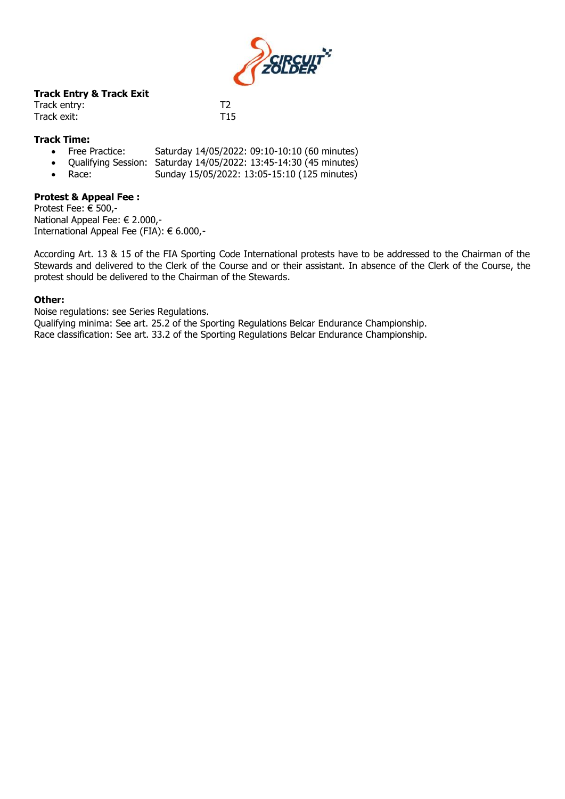

# **Track Entry & Track Exit**

| Track entry: |                 |
|--------------|-----------------|
| Track exit:  | T <sub>15</sub> |

# **Track Time:**

- Free Practice: Saturday 14/05/2022: 09:10-10:10 (60 minutes)
- Qualifying Session: Saturday 14/05/2022: 13:45-14:30 (45 minutes)
- Race: Sunday 15/05/2022: 13:05-15:10 (125 minutes)

#### **Protest & Appeal Fee :**

Protest Fee: € 500,- National Appeal Fee: € 2.000,- International Appeal Fee (FIA): € 6.000,-

According Art. 13 & 15 of the FIA Sporting Code International protests have to be addressed to the Chairman of the Stewards and delivered to the Clerk of the Course and or their assistant. In absence of the Clerk of the Course, the protest should be delivered to the Chairman of the Stewards.

## **Other:**

Noise regulations: see Series Regulations. Qualifying minima: See art. 25.2 of the Sporting Regulations Belcar Endurance Championship. Race classification: See art. 33.2 of the Sporting Regulations Belcar Endurance Championship.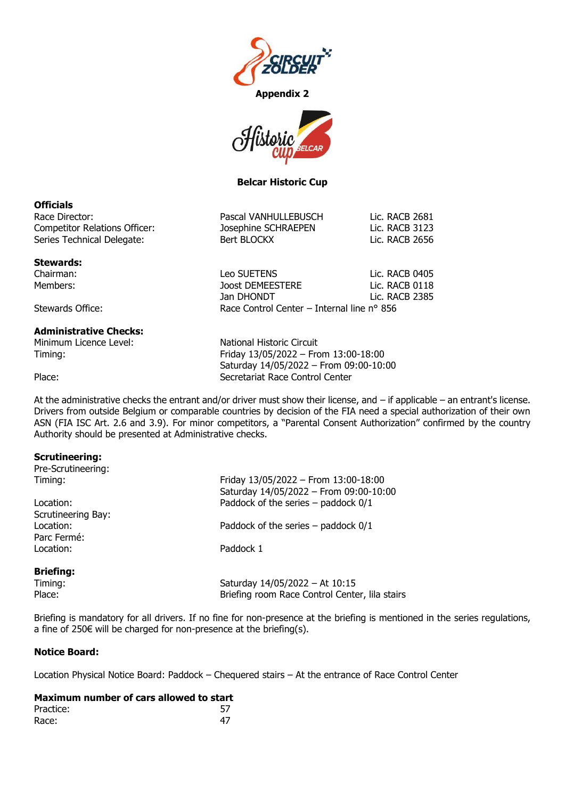



**Belcar Historic Cup**

# **Officials**

| Race Director:                | Pascal VANHULLEBUSCH | Lic. RACB 2681 |
|-------------------------------|----------------------|----------------|
| Competitor Relations Officer: | Josephine SCHRAEPEN  | Lic. RACB 3123 |
| Series Technical Delegate:    | Bert BLOCKX          | Lic. RACB 2656 |
|                               |                      |                |

#### **Stewards:**

Chairman: Leo SUETENS Lic. RACB 0405 Members: Joost DEMEESTERE Lic. RACB 0118

Stewards Office: The Race Control Center – Internal line n° 856

# **Administrative Checks:**

Minimum Licence Level: National Historic Circuit

Timing: Friday 13/05/2022 – From 13:00-18:00 Saturday 14/05/2022 – From 09:00-10:00 Place: Secretariat Race Control Center

Jan DHONDT Lic. RACB 2385

At the administrative checks the entrant and/or driver must show their license, and – if applicable – an entrant's license. Drivers from outside Belgium or comparable countries by decision of the FIA need a special authorization of their own ASN (FIA ISC Art. 2.6 and 3.9). For minor competitors, a "Parental Consent Authorization" confirmed by the country Authority should be presented at Administrative checks.

## **Scrutineering:**

| Pre-Scrutineering: |                                                                                |  |
|--------------------|--------------------------------------------------------------------------------|--|
| Timing:            | Friday 13/05/2022 - From 13:00-18:00<br>Saturday 14/05/2022 - From 09:00-10:00 |  |
| Location:          | Paddock of the series $-$ paddock $0/1$                                        |  |
| Scrutineering Bay: |                                                                                |  |
| Location:          | Paddock of the series $-$ paddock $0/1$                                        |  |
| Parc Fermé:        |                                                                                |  |
| Location:          | Paddock 1                                                                      |  |
| <b>Briefing:</b>   |                                                                                |  |
| Timing:            | Saturday 14/05/2022 - At 10:15                                                 |  |
| Place:             | Briefing room Race Control Center, lila stairs                                 |  |

Briefing is mandatory for all drivers. If no fine for non-presence at the briefing is mentioned in the series regulations, a fine of 250€ will be charged for non-presence at the briefing(s).

## **Notice Board:**

Location Physical Notice Board: Paddock – Chequered stairs – At the entrance of Race Control Center

| Maximum number of cars allowed to start |    |
|-----------------------------------------|----|
| Practice:                               |    |
| Race:                                   | 47 |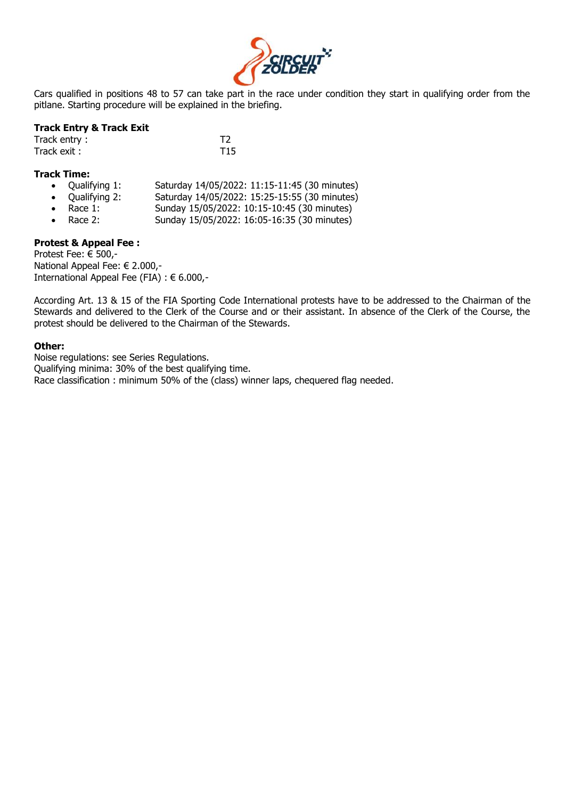

Cars qualified in positions 48 to 57 can take part in the race under condition they start in qualifying order from the pitlane. Starting procedure will be explained in the briefing.

#### **Track Entry & Track Exit**

| Track entry: |                 |
|--------------|-----------------|
| Track exit : | T <sub>15</sub> |

#### **Track Time:**

- Qualifying 1: Saturday 14/05/2022: 11:15-11:45 (30 minutes)
- Qualifying 2: Saturday 14/05/2022: 15:25-15:55 (30 minutes)
- Race 1: Sunday 15/05/2022: 10:15-10:45 (30 minutes)
- Race 2: Sunday 15/05/2022: 16:05-16:35 (30 minutes)

# **Protest & Appeal Fee :**

Protest Fee: € 500,- National Appeal Fee: € 2.000,- International Appeal Fee (FIA) : € 6.000,-

According Art. 13 & 15 of the FIA Sporting Code International protests have to be addressed to the Chairman of the Stewards and delivered to the Clerk of the Course and or their assistant. In absence of the Clerk of the Course, the protest should be delivered to the Chairman of the Stewards.

#### **Other:**

Noise regulations: see Series Regulations. Qualifying minima: 30% of the best qualifying time. Race classification : minimum 50% of the (class) winner laps, chequered flag needed.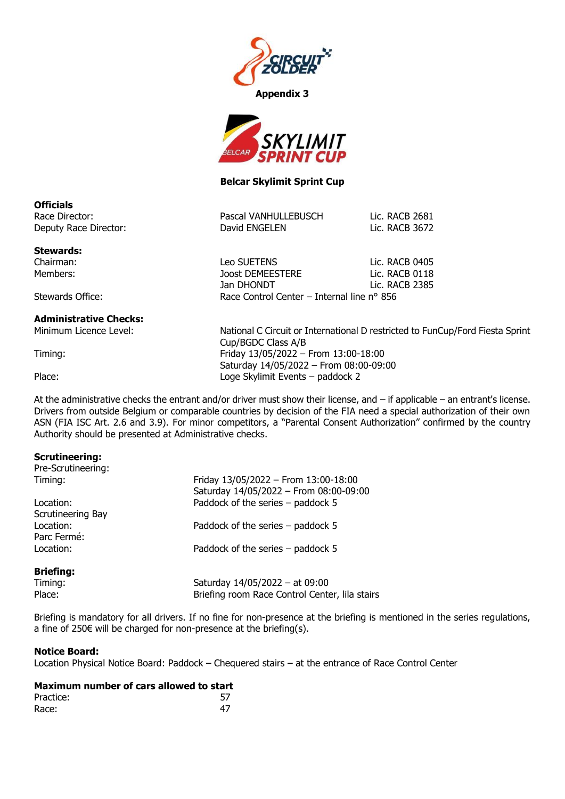



# **Belcar Skylimit Sprint Cup**

| Pascal VANHULLEBUSCH | Lic. RACB 2681 |
|----------------------|----------------|
| David ENGELEN        | Lic. RACB 3672 |

Jan DHONDT Lic. RACB 2385

**Stewards:**

Deputy Race Director:

**Officials** Race Director:

Chairman: Leo SUETENS Lic. RACB 0405 Members: Joost DEMEESTERE Lic. RACB 0118

Stewards Office: The Race Control Center – Internal line n° 856

## **Administrative Checks:**

Minimum Licence Level: National C Circuit or International D restricted to FunCup/Ford Fiesta Sprint Cup/BGDC Class A/B Timing: Friday 13/05/2022 – From 13:00-18:00 Saturday 14/05/2022 – From 08:00-09:00 Place: Loge Skylimit Events – paddock 2

At the administrative checks the entrant and/or driver must show their license, and – if applicable – an entrant's license. Drivers from outside Belgium or comparable countries by decision of the FIA need a special authorization of their own ASN (FIA ISC Art. 2.6 and 3.9). For minor competitors, a "Parental Consent Authorization" confirmed by the country Authority should be presented at Administrative checks.

## **Scrutineering:**

| Pre-Scrutineering: |                                                                                                                     |  |  |
|--------------------|---------------------------------------------------------------------------------------------------------------------|--|--|
| Timing:            | Friday 13/05/2022 - From 13:00-18:00<br>Saturday 14/05/2022 - From 08:00-09:00<br>Paddock of the series - paddock 5 |  |  |
| Location:          |                                                                                                                     |  |  |
| Scrutineering Bay  |                                                                                                                     |  |  |
| Location:          | Paddock of the series – paddock 5                                                                                   |  |  |
| Parc Fermé:        |                                                                                                                     |  |  |
| Location:          | Paddock of the series – paddock 5                                                                                   |  |  |
| <b>Briefing:</b>   |                                                                                                                     |  |  |
| Timing:            | Saturday 14/05/2022 - at 09:00                                                                                      |  |  |
| Place:             | Briefing room Race Control Center, lila stairs                                                                      |  |  |

Briefing is mandatory for all drivers. If no fine for non-presence at the briefing is mentioned in the series regulations, a fine of 250€ will be charged for non-presence at the briefing(s).

## **Notice Board:**

Location Physical Notice Board: Paddock – Chequered stairs – at the entrance of Race Control Center

| Practice: |  |
|-----------|--|
| Race:     |  |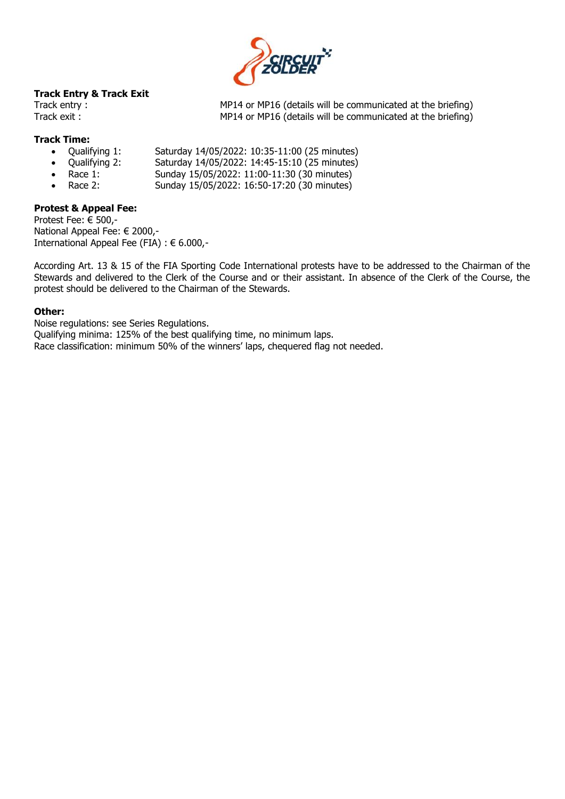

# **Track Entry & Track Exit**

Track entry : MP14 or MP16 (details will be communicated at the briefing) Track exit : MP14 or MP16 (details will be communicated at the briefing)

# **Track Time:**

- Qualifying 1: Saturday 14/05/2022: 10:35-11:00 (25 minutes)
- Qualifying 2: Saturday 14/05/2022: 14:45-15:10 (25 minutes)
- 
- Race 1: Sunday 15/05/2022: 11:00-11:30 (30 minutes) • Race 2: Sunday 15/05/2022: 16:50-17:20 (30 minutes)

# **Protest & Appeal Fee:**

Protest Fee: € 500,- National Appeal Fee: € 2000,- International Appeal Fee (FIA) : € 6.000,-

According Art. 13 & 15 of the FIA Sporting Code International protests have to be addressed to the Chairman of the Stewards and delivered to the Clerk of the Course and or their assistant. In absence of the Clerk of the Course, the protest should be delivered to the Chairman of the Stewards.

#### **Other:**

Noise regulations: see Series Regulations. Qualifying minima: 125% of the best qualifying time, no minimum laps. Race classification: minimum 50% of the winners' laps, chequered flag not needed.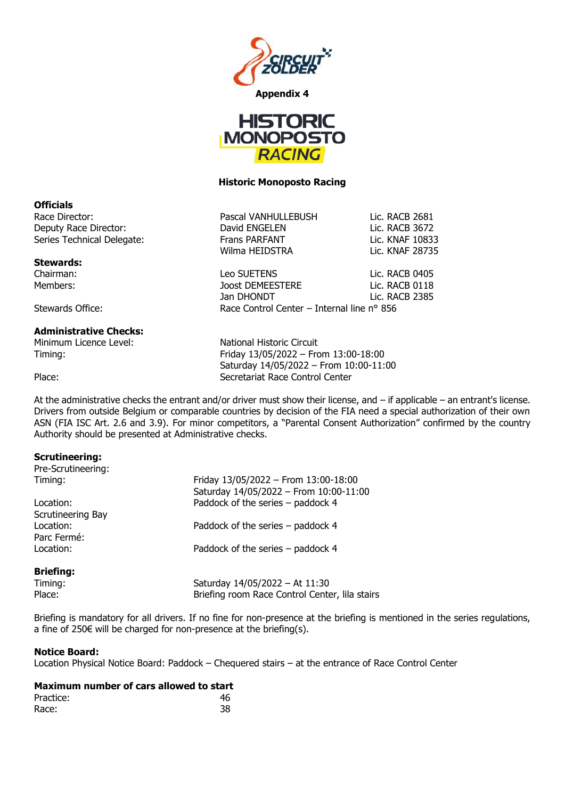



#### **Historic Monoposto Racing**

#### **Officials**

Race Director: The Pascal VANHULLEBUSH Lic. RACB 2681 Deputy Race Director: David ENGELEN Lic. RACB 3672 Series Technical Delegate: Frans PARFANT Lic. KNAF 10833

#### **Stewards:**

Chairman: Leo SUETENS Lic. RACB 0405 Members: Joost DEMEESTERE Lic. RACB 0118

Stewards Office: The Race Control Center – Internal line n° 856

## **Administrative Checks:**

Minimum Licence Level: National Historic Circuit

Timing: Friday 13/05/2022 – From 13:00-18:00 Saturday 14/05/2022 – From 10:00-11:00 Place: Place: Secretariat Race Control Center

Wilma HEIDSTRA Lic. KNAF 28735

Jan DHONDT Lic. RACB 2385

At the administrative checks the entrant and/or driver must show their license, and – if applicable – an entrant's license. Drivers from outside Belgium or comparable countries by decision of the FIA need a special authorization of their own ASN (FIA ISC Art. 2.6 and 3.9). For minor competitors, a "Parental Consent Authorization" confirmed by the country Authority should be presented at Administrative checks.

## **Scrutineering:**

| Pre-Scrutineering: |                                                                                |  |  |
|--------------------|--------------------------------------------------------------------------------|--|--|
| Timing:            | Friday 13/05/2022 - From 13:00-18:00<br>Saturday 14/05/2022 - From 10:00-11:00 |  |  |
| Location:          | Paddock of the series - paddock 4                                              |  |  |
| Scrutineering Bay  |                                                                                |  |  |
| Location:          | Paddock of the series – paddock 4                                              |  |  |
| Parc Fermé:        |                                                                                |  |  |
| Location:          | Paddock of the series - paddock 4                                              |  |  |
| <b>Briefing:</b>   |                                                                                |  |  |
| Timing:            | Saturday 14/05/2022 - At 11:30                                                 |  |  |
| Place:             | Briefing room Race Control Center, lila stairs                                 |  |  |

Briefing is mandatory for all drivers. If no fine for non-presence at the briefing is mentioned in the series regulations, a fine of 250€ will be charged for non-presence at the briefing(s).

## **Notice Board:**

Location Physical Notice Board: Paddock – Chequered stairs – at the entrance of Race Control Center

| Practice: | 46 |
|-----------|----|
| Race:     | 38 |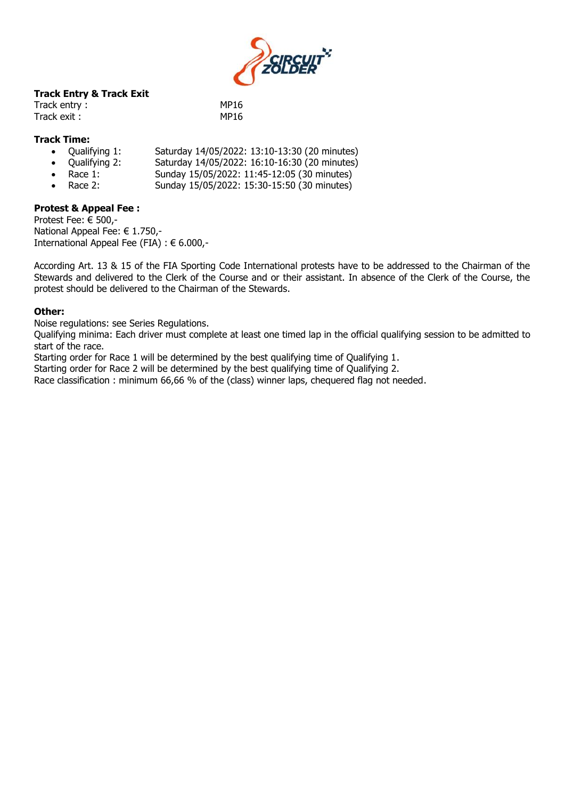

# **Track Entry & Track Exit**

| Track entry: | <b>MP16</b> |
|--------------|-------------|
| Track exit : | <b>MP16</b> |

# **Track Time:**

- Qualifying 1: Saturday 14/05/2022: 13:10-13:30 (20 minutes)
- Qualifying 2: Saturday 14/05/2022: 16:10-16:30 (20 minutes)
- Race 1: Sunday 15/05/2022: 11:45-12:05 (30 minutes)
- Race 2: Sunday 15/05/2022: 15:30-15:50 (30 minutes)

# **Protest & Appeal Fee :**

Protest Fee: € 500,- National Appeal Fee: € 1.750,- International Appeal Fee (FIA) : € 6.000,-

According Art. 13 & 15 of the FIA Sporting Code International protests have to be addressed to the Chairman of the Stewards and delivered to the Clerk of the Course and or their assistant. In absence of the Clerk of the Course, the protest should be delivered to the Chairman of the Stewards.

#### **Other:**

Noise regulations: see Series Regulations.

Qualifying minima: Each driver must complete at least one timed lap in the official qualifying session to be admitted to start of the race.

Starting order for Race 1 will be determined by the best qualifying time of Qualifying 1.

Starting order for Race 2 will be determined by the best qualifying time of Qualifying 2.

Race classification : minimum 66,66 % of the (class) winner laps, chequered flag not needed.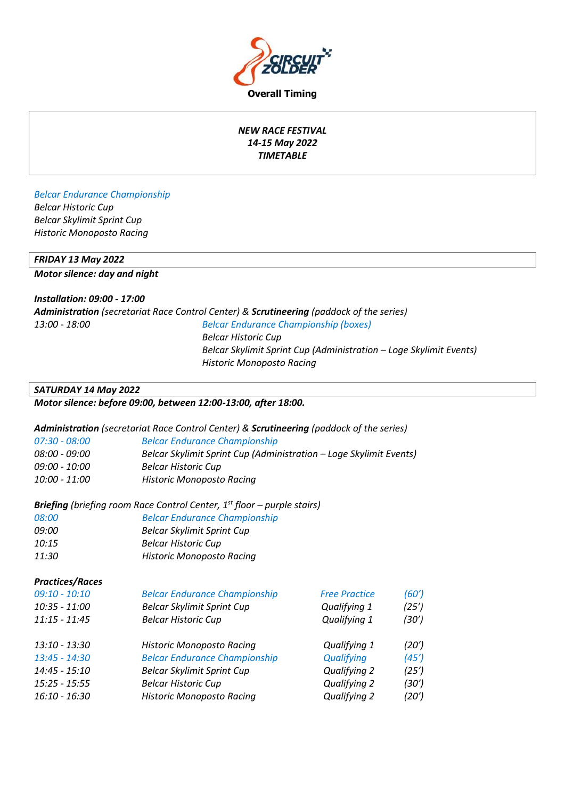

**Overall Timing**

# *NEW RACE FESTIVAL 14-15 May 2022 TIMETABLE*

# *Belcar Endurance Championship Belcar Historic Cup Belcar Skylimit Sprint Cup Historic Monoposto Racing*

# *FRIDAY 13 May 2022*

*Motor silence: day and night* 

# *Installation: 09:00 - 17:00*

|                      | <b>Administration</b> (secretariat Race Control Center) & <b>Scrutineering</b> (paddock of the series) |
|----------------------|--------------------------------------------------------------------------------------------------------|
| <i>13:00 - 18:00</i> | Belcar Endurance Championship (boxes)                                                                  |
|                      | Belcar Historic Cup                                                                                    |
|                      | Belcar Skylimit Sprint Cup (Administration – Loge Skylimit Events)                                     |
|                      | <b>Historic Monoposto Racing</b>                                                                       |

## *SATURDAY 14 May 2022*

# *Motor silence: before 09:00, between 12:00-13:00, after 18:00.*

## *Administration (secretariat Race Control Center) & Scrutineering (paddock of the series)*

| 07:30 - 08:00 | <b>Belcar Endurance Championship</b>                               |
|---------------|--------------------------------------------------------------------|
| 08:00 - 09:00 | Belcar Skylimit Sprint Cup (Administration – Loge Skylimit Events) |
| 09:00 - 10:00 | Belcar Historic Cup                                                |
| 10:00 - 11:00 | Historic Monoposto Racing                                          |

# *Briefing (briefing room Race Control Center, 1 st floor – purple stairs)*

| 08:00 | <b>Belcar Endurance Championship</b> |
|-------|--------------------------------------|
| 09:00 | <b>Belcar Skylimit Sprint Cup</b>    |
| 10:15 | <b>Belcar Historic Cup</b>           |
| 11:30 | <b>Historic Monoposto Racing</b>     |

## *Practices/Races*

| $09:10 - 10:10$                  | <b>Belcar Endurance Championship</b> | <b>Free Practice</b> | (60') |
|----------------------------------|--------------------------------------|----------------------|-------|
| 10:35 - 11:00                    | <b>Belcar Skylimit Sprint Cup</b>    | Qualifying 1         | (25') |
| $11:15 - 11:45$                  | <b>Belcar Historic Cup</b>           | Qualifying 1         | (30′) |
| 13:10 - 13:30<br>$13:45 - 14:30$ | <b>Historic Monoposto Racing</b>     | Qualifying 1         | (20') |
| 14:45 - 15:10                    | <b>Belcar Endurance Championship</b> | Qualifying           | (45') |
|                                  | <b>Belcar Skylimit Sprint Cup</b>    | Qualifying 2         | (25') |
| $15:25 - 15:55$                  | <b>Belcar Historic Cup</b>           | Qualifying 2         | (30') |
| 16:10 - 16:30                    | <b>Historic Monoposto Racing</b>     | Qualifying 2         | (20′) |